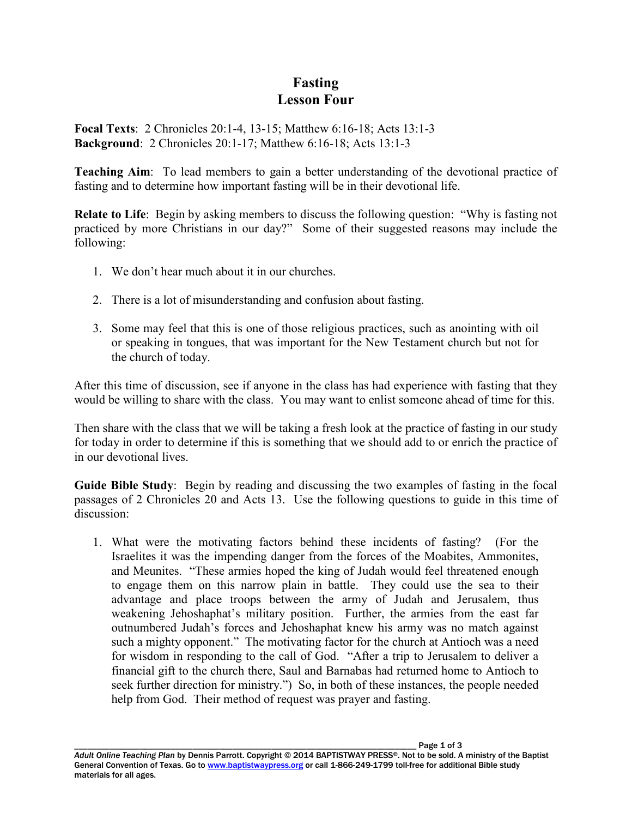## **Fasting Lesson Four**

**Focal Texts**: 2 Chronicles 20:1-4, 13-15; Matthew 6:16-18; Acts 13:1-3 **Background**: 2 Chronicles 20:1-17; Matthew 6:16-18; Acts 13:1-3

**Teaching Aim**: To lead members to gain a better understanding of the devotional practice of fasting and to determine how important fasting will be in their devotional life.

**Relate to Life**: Begin by asking members to discuss the following question: "Why is fasting not practiced by more Christians in our day?" Some of their suggested reasons may include the following:

- 1. We don't hear much about it in our churches.
- 2. There is a lot of misunderstanding and confusion about fasting.
- 3. Some may feel that this is one of those religious practices, such as anointing with oil or speaking in tongues, that was important for the New Testament church but not for the church of today.

After this time of discussion, see if anyone in the class has had experience with fasting that they would be willing to share with the class. You may want to enlist someone ahead of time for this.

Then share with the class that we will be taking a fresh look at the practice of fasting in our study for today in order to determine if this is something that we should add to or enrich the practice of in our devotional lives.

**Guide Bible Study**: Begin by reading and discussing the two examples of fasting in the focal passages of 2 Chronicles 20 and Acts 13. Use the following questions to guide in this time of discussion:

1. What were the motivating factors behind these incidents of fasting? (For the Israelites it was the impending danger from the forces of the Moabites, Ammonites, and Meunites. "These armies hoped the king of Judah would feel threatened enough to engage them on this narrow plain in battle. They could use the sea to their advantage and place troops between the army of Judah and Jerusalem, thus weakening Jehoshaphat's military position. Further, the armies from the east far outnumbered Judah's forces and Jehoshaphat knew his army was no match against such a mighty opponent." The motivating factor for the church at Antioch was a need for wisdom in responding to the call of God. "After a trip to Jerusalem to deliver a financial gift to the church there, Saul and Barnabas had returned home to Antioch to seek further direction for ministry.") So, in both of these instances, the people needed help from God. Their method of request was prayer and fasting.

Page 1 of 3 *Adult Online Teaching Plan* by Dennis Parrott. Copyright © 2014 BAPTISTWAY PRESS®. Not to be sold. A ministry of the Baptist General Convention of Texas. Go to www.baptistwaypress.org or call 1-866-249-1799 toll-free for additional Bible study materials for all ages.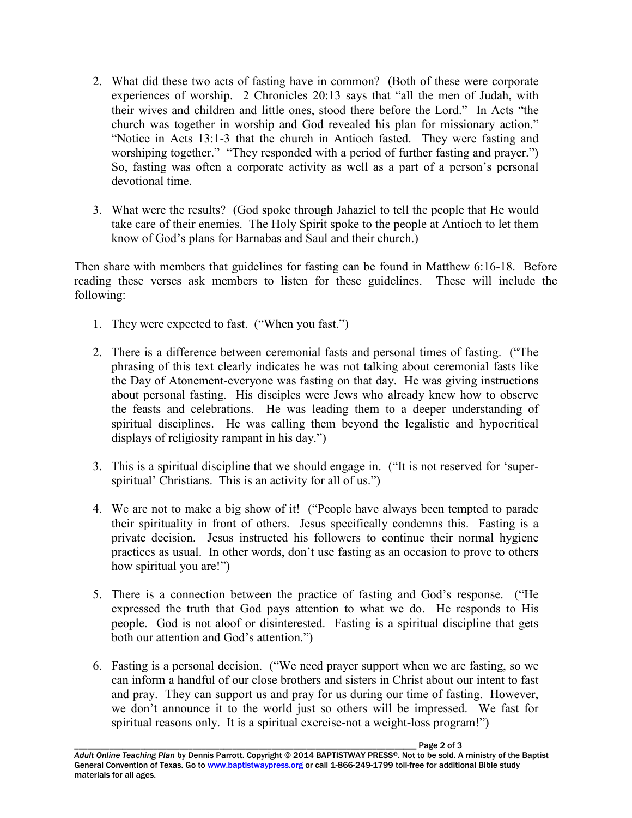- 2. What did these two acts of fasting have in common? (Both of these were corporate experiences of worship. 2 Chronicles 20:13 says that "all the men of Judah, with their wives and children and little ones, stood there before the Lord." In Acts "the church was together in worship and God revealed his plan for missionary action." "Notice in Acts 13:1-3 that the church in Antioch fasted. They were fasting and worshiping together." "They responded with a period of further fasting and prayer.") So, fasting was often a corporate activity as well as a part of a person's personal devotional time.
- 3. What were the results? (God spoke through Jahaziel to tell the people that He would take care of their enemies. The Holy Spirit spoke to the people at Antioch to let them know of God's plans for Barnabas and Saul and their church.)

Then share with members that guidelines for fasting can be found in Matthew 6:16-18. Before reading these verses ask members to listen for these guidelines. These will include the following:

- 1. They were expected to fast. ("When you fast.")
- 2. There is a difference between ceremonial fasts and personal times of fasting. ("The phrasing of this text clearly indicates he was not talking about ceremonial fasts like the Day of Atonement-everyone was fasting on that day. He was giving instructions about personal fasting. His disciples were Jews who already knew how to observe the feasts and celebrations. He was leading them to a deeper understanding of spiritual disciplines. He was calling them beyond the legalistic and hypocritical displays of religiosity rampant in his day.")
- 3. This is a spiritual discipline that we should engage in. ("It is not reserved for 'superspiritual' Christians. This is an activity for all of us.")
- 4. We are not to make a big show of it! ("People have always been tempted to parade their spirituality in front of others. Jesus specifically condemns this. Fasting is a private decision. Jesus instructed his followers to continue their normal hygiene practices as usual. In other words, don't use fasting as an occasion to prove to others how spiritual you are!")
- 5. There is a connection between the practice of fasting and God's response. ("He expressed the truth that God pays attention to what we do. He responds to His people. God is not aloof or disinterested. Fasting is a spiritual discipline that gets both our attention and God's attention.")
- 6. Fasting is a personal decision. ("We need prayer support when we are fasting, so we can inform a handful of our close brothers and sisters in Christ about our intent to fast and pray. They can support us and pray for us during our time of fasting. However, we don't announce it to the world just so others will be impressed. We fast for spiritual reasons only. It is a spiritual exercise-not a weight-loss program!")

Page 2 of 3 *Adult Online Teaching Plan* by Dennis Parrott. Copyright © 2014 BAPTISTWAY PRESS®. Not to be sold. A ministry of the Baptist General Convention of Texas. Go to www.baptistwaypress.org or call 1-866-249-1799 toll-free for additional Bible study materials for all ages.